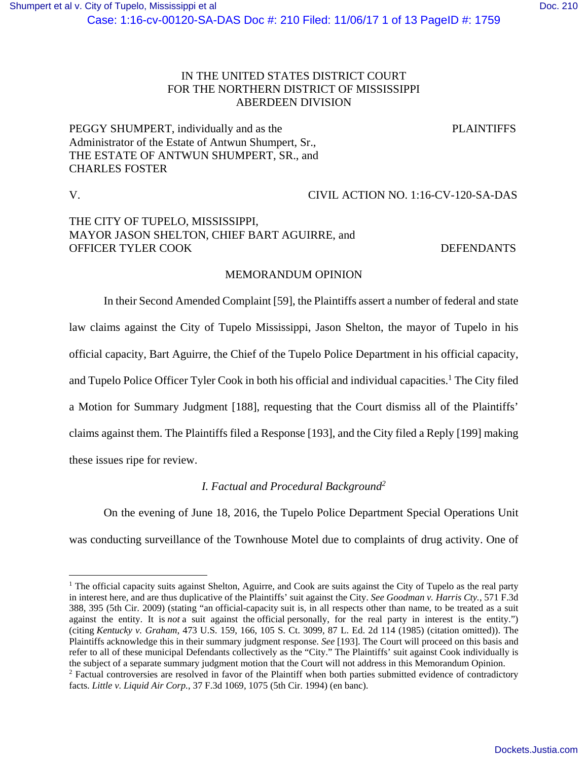## IN THE UNITED STATES DISTRICT COURT FOR THE NORTHERN DISTRICT OF MISSISSIPPI ABERDEEN DIVISION

PEGGY SHUMPERT, individually and as the PLAINTIFFS Administrator of the Estate of Antwun Shumpert, Sr., THE ESTATE OF ANTWUN SHUMPERT, SR., and CHARLES FOSTER

 $\overline{a}$ 

V. CIVIL ACTION NO. 1:16-CV-120-SA-DAS

# THE CITY OF TUPELO, MISSISSIPPI, MAYOR JASON SHELTON, CHIEF BART AGUIRRE, and OFFICER TYLER COOK DEFENDANTS

## MEMORANDUM OPINION

In their Second Amended Complaint [59], the Plaintiffs assert a number of federal and state law claims against the City of Tupelo Mississippi, Jason Shelton, the mayor of Tupelo in his official capacity, Bart Aguirre, the Chief of the Tupelo Police Department in his official capacity, and Tupelo Police Officer Tyler Cook in both his official and individual capacities.<sup>1</sup> The City filed a Motion for Summary Judgment [188], requesting that the Court dismiss all of the Plaintiffs' claims against them. The Plaintiffs filed a Response [193], and the City filed a Reply [199] making these issues ripe for review.

## *I. Factual and Procedural Background2*

On the evening of June 18, 2016, the Tupelo Police Department Special Operations Unit was conducting surveillance of the Townhouse Motel due to complaints of drug activity. One of

<sup>&</sup>lt;sup>1</sup> The official capacity suits against Shelton, Aguirre, and Cook are suits against the City of Tupelo as the real party in interest here, and are thus duplicative of the Plaintiffs' suit against the City. *See Goodman v. Harris Cty.*, 571 F.3d 388, 395 (5th Cir. 2009) (stating "an official-capacity suit is, in all respects other than name, to be treated as a suit against the entity. It is *not* a suit against the official personally, for the real party in interest is the entity.") (citing *Kentucky v. Graham*, 473 U.S. 159, 166, 105 S. Ct. 3099, 87 L. Ed. 2d 114 (1985) (citation omitted)). The Plaintiffs acknowledge this in their summary judgment response. *See* [193]. The Court will proceed on this basis and refer to all of these municipal Defendants collectively as the "City." The Plaintiffs' suit against Cook individually is the subject of a separate summary judgment motion that the Court will not address in this Memorandum Opinion. 2 <sup>2</sup> Factual controversies are resolved in favor of the Plaintiff when both parties submitted evidence of contradictory facts. *Little v. Liquid Air Corp.*, 37 F.3d 1069, 1075 (5th Cir. 1994) (en banc).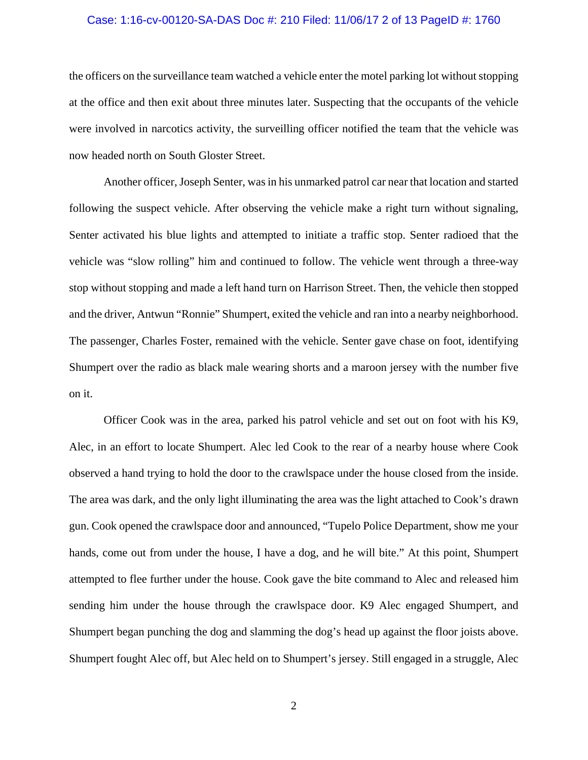#### Case: 1:16-cv-00120-SA-DAS Doc #: 210 Filed: 11/06/17 2 of 13 PageID #: 1760

the officers on the surveillance team watched a vehicle enter the motel parking lot without stopping at the office and then exit about three minutes later. Suspecting that the occupants of the vehicle were involved in narcotics activity, the surveilling officer notified the team that the vehicle was now headed north on South Gloster Street.

Another officer, Joseph Senter, was in his unmarked patrol car near that location and started following the suspect vehicle. After observing the vehicle make a right turn without signaling, Senter activated his blue lights and attempted to initiate a traffic stop. Senter radioed that the vehicle was "slow rolling" him and continued to follow. The vehicle went through a three-way stop without stopping and made a left hand turn on Harrison Street. Then, the vehicle then stopped and the driver, Antwun "Ronnie" Shumpert, exited the vehicle and ran into a nearby neighborhood. The passenger, Charles Foster, remained with the vehicle. Senter gave chase on foot, identifying Shumpert over the radio as black male wearing shorts and a maroon jersey with the number five on it.

Officer Cook was in the area, parked his patrol vehicle and set out on foot with his K9, Alec, in an effort to locate Shumpert. Alec led Cook to the rear of a nearby house where Cook observed a hand trying to hold the door to the crawlspace under the house closed from the inside. The area was dark, and the only light illuminating the area was the light attached to Cook's drawn gun. Cook opened the crawlspace door and announced, "Tupelo Police Department, show me your hands, come out from under the house, I have a dog, and he will bite." At this point, Shumpert attempted to flee further under the house. Cook gave the bite command to Alec and released him sending him under the house through the crawlspace door. K9 Alec engaged Shumpert, and Shumpert began punching the dog and slamming the dog's head up against the floor joists above. Shumpert fought Alec off, but Alec held on to Shumpert's jersey. Still engaged in a struggle, Alec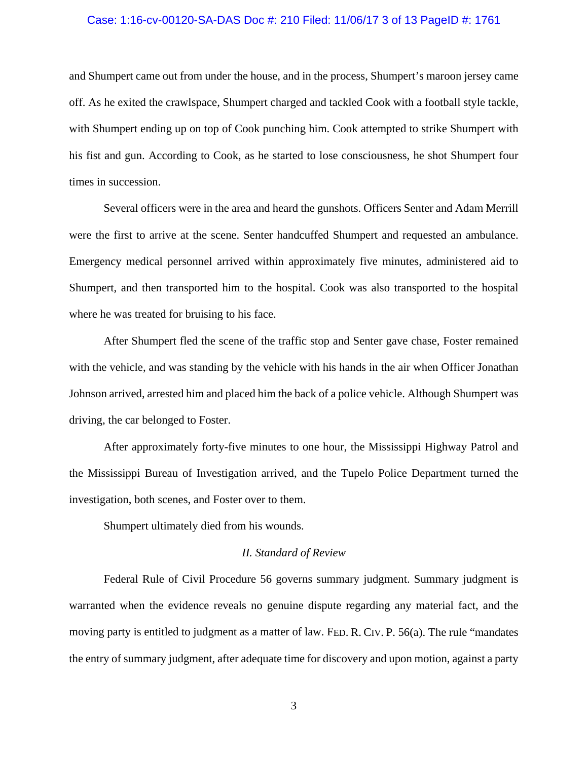### Case: 1:16-cv-00120-SA-DAS Doc #: 210 Filed: 11/06/17 3 of 13 PageID #: 1761

and Shumpert came out from under the house, and in the process, Shumpert's maroon jersey came off. As he exited the crawlspace, Shumpert charged and tackled Cook with a football style tackle, with Shumpert ending up on top of Cook punching him. Cook attempted to strike Shumpert with his fist and gun. According to Cook, as he started to lose consciousness, he shot Shumpert four times in succession.

Several officers were in the area and heard the gunshots. Officers Senter and Adam Merrill were the first to arrive at the scene. Senter handcuffed Shumpert and requested an ambulance. Emergency medical personnel arrived within approximately five minutes, administered aid to Shumpert, and then transported him to the hospital. Cook was also transported to the hospital where he was treated for bruising to his face.

After Shumpert fled the scene of the traffic stop and Senter gave chase, Foster remained with the vehicle, and was standing by the vehicle with his hands in the air when Officer Jonathan Johnson arrived, arrested him and placed him the back of a police vehicle. Although Shumpert was driving, the car belonged to Foster.

After approximately forty-five minutes to one hour, the Mississippi Highway Patrol and the Mississippi Bureau of Investigation arrived, and the Tupelo Police Department turned the investigation, both scenes, and Foster over to them.

Shumpert ultimately died from his wounds.

#### *II. Standard of Review*

Federal Rule of Civil Procedure 56 governs summary judgment. Summary judgment is warranted when the evidence reveals no genuine dispute regarding any material fact, and the moving party is entitled to judgment as a matter of law. FED. R. CIV. P. 56(a). The rule "mandates the entry of summary judgment, after adequate time for discovery and upon motion, against a party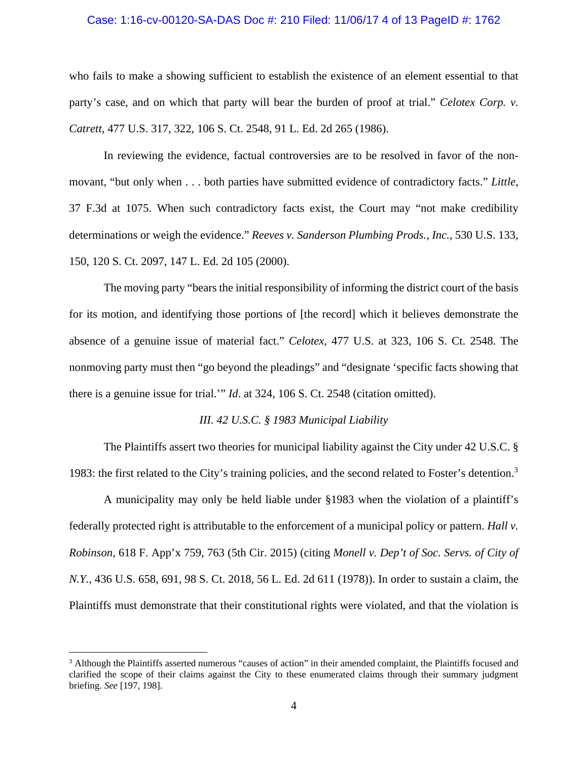### Case: 1:16-cv-00120-SA-DAS Doc #: 210 Filed: 11/06/17 4 of 13 PageID #: 1762

who fails to make a showing sufficient to establish the existence of an element essential to that party's case, and on which that party will bear the burden of proof at trial." *Celotex Corp. v. Catrett*, 477 U.S. 317, 322, 106 S. Ct. 2548, 91 L. Ed. 2d 265 (1986).

In reviewing the evidence, factual controversies are to be resolved in favor of the nonmovant, "but only when . . . both parties have submitted evidence of contradictory facts." *Little*, 37 F.3d at 1075. When such contradictory facts exist, the Court may "not make credibility determinations or weigh the evidence." *Reeves v. Sanderson Plumbing Prods., Inc.*, 530 U.S. 133, 150, 120 S. Ct. 2097, 147 L. Ed. 2d 105 (2000).

The moving party "bears the initial responsibility of informing the district court of the basis for its motion, and identifying those portions of [the record] which it believes demonstrate the absence of a genuine issue of material fact." *Celotex*, 477 U.S. at 323, 106 S. Ct. 2548. The nonmoving party must then "go beyond the pleadings" and "designate 'specific facts showing that there is a genuine issue for trial.'" *Id*. at 324, 106 S. Ct. 2548 (citation omitted).

## *III. 42 U.S.C. § 1983 Municipal Liability*

The Plaintiffs assert two theories for municipal liability against the City under 42 U.S.C. § 1983: the first related to the City's training policies, and the second related to Foster's detention.<sup>3</sup>

A municipality may only be held liable under §1983 when the violation of a plaintiff's federally protected right is attributable to the enforcement of a municipal policy or pattern. *Hall v. Robinson*, 618 F. App'x 759, 763 (5th Cir. 2015) (citing *Monell v. Dep't of Soc. Servs. of City of N.Y.*, 436 U.S. 658, 691, 98 S. Ct. 2018, 56 L. Ed. 2d 611 (1978)). In order to sustain a claim, the Plaintiffs must demonstrate that their constitutional rights were violated, and that the violation is

<u>.</u>

<sup>&</sup>lt;sup>3</sup> Although the Plaintiffs asserted numerous "causes of action" in their amended complaint, the Plaintiffs focused and clarified the scope of their claims against the City to these enumerated claims through their summary judgment briefing. *See* [197, 198].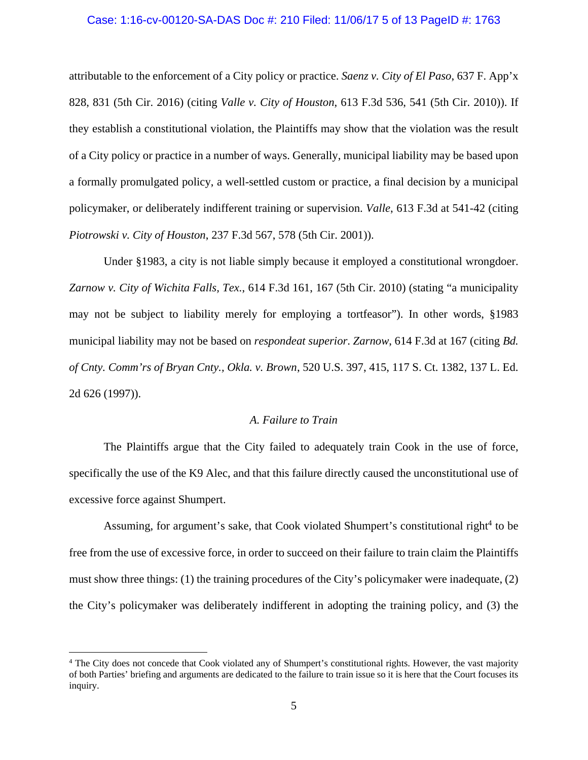#### Case: 1:16-cv-00120-SA-DAS Doc #: 210 Filed: 11/06/17 5 of 13 PageID #: 1763

attributable to the enforcement of a City policy or practice. *Saenz v. City of El Paso*, 637 F. App'x 828, 831 (5th Cir. 2016) (citing *Valle v. City of Houston*, 613 F.3d 536, 541 (5th Cir. 2010)). If they establish a constitutional violation, the Plaintiffs may show that the violation was the result of a City policy or practice in a number of ways. Generally, municipal liability may be based upon a formally promulgated policy, a well-settled custom or practice, a final decision by a municipal policymaker, or deliberately indifferent training or supervision. *Valle*, 613 F.3d at 541-42 (citing *Piotrowski v. City of Houston*, 237 F.3d 567, 578 (5th Cir. 2001)).

Under §1983, a city is not liable simply because it employed a constitutional wrongdoer. *Zarnow v. City of Wichita Falls, Tex.*, 614 F.3d 161, 167 (5th Cir. 2010) (stating "a municipality may not be subject to liability merely for employing a tortfeasor"). In other words, §1983 municipal liability may not be based on *respondeat superior*. *Zarnow*, 614 F.3d at 167 (citing *Bd. of Cnty. Comm'rs of Bryan Cnty., Okla. v. Brown*, 520 U.S. 397, 415, 117 S. Ct. 1382, 137 L. Ed. 2d 626 (1997)).

## *A. Failure to Train*

The Plaintiffs argue that the City failed to adequately train Cook in the use of force, specifically the use of the K9 Alec, and that this failure directly caused the unconstitutional use of excessive force against Shumpert.

Assuming, for argument's sake, that Cook violated Shumpert's constitutional right<sup>4</sup> to be free from the use of excessive force, in order to succeed on their failure to train claim the Plaintiffs must show three things: (1) the training procedures of the City's policymaker were inadequate, (2) the City's policymaker was deliberately indifferent in adopting the training policy, and (3) the

 $\overline{a}$ 

<sup>&</sup>lt;sup>4</sup> The City does not concede that Cook violated any of Shumpert's constitutional rights. However, the vast majority of both Parties' briefing and arguments are dedicated to the failure to train issue so it is here that the Court focuses its inquiry.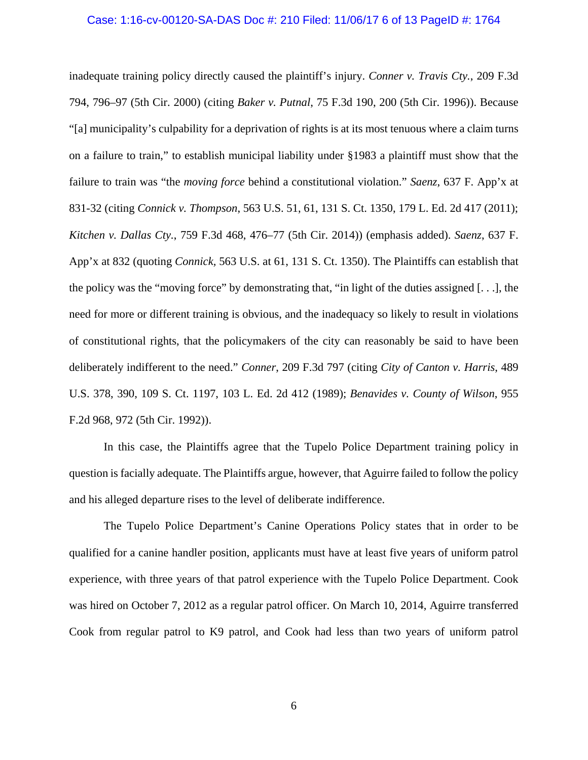#### Case: 1:16-cv-00120-SA-DAS Doc #: 210 Filed: 11/06/17 6 of 13 PageID #: 1764

inadequate training policy directly caused the plaintiff's injury. *Conner v. Travis Cty.*, 209 F.3d 794, 796–97 (5th Cir. 2000) (citing *Baker v. Putnal*, 75 F.3d 190, 200 (5th Cir. 1996)). Because "[a] municipality's culpability for a deprivation of rights is at its most tenuous where a claim turns on a failure to train," to establish municipal liability under §1983 a plaintiff must show that the failure to train was "the *moving force* behind a constitutional violation." *Saenz*, 637 F. App'x at 831-32 (citing *Connick v. Thompson*, 563 U.S. 51, 61, 131 S. Ct. 1350, 179 L. Ed. 2d 417 (2011); *Kitchen v. Dallas Cty.*, 759 F.3d 468, 476–77 (5th Cir. 2014)) (emphasis added). *Saenz*, 637 F. App'x at 832 (quoting *Connick,* 563 U.S. at 61, 131 S. Ct. 1350). The Plaintiffs can establish that the policy was the "moving force" by demonstrating that, "in light of the duties assigned [. . .], the need for more or different training is obvious, and the inadequacy so likely to result in violations of constitutional rights, that the policymakers of the city can reasonably be said to have been deliberately indifferent to the need." *Conner*, 209 F.3d 797 (citing *City of Canton v. Harris*, 489 U.S. 378, 390, 109 S. Ct. 1197, 103 L. Ed. 2d 412 (1989); *Benavides v. County of Wilson*, 955 F.2d 968, 972 (5th Cir. 1992)).

In this case, the Plaintiffs agree that the Tupelo Police Department training policy in question is facially adequate. The Plaintiffs argue, however, that Aguirre failed to follow the policy and his alleged departure rises to the level of deliberate indifference.

The Tupelo Police Department's Canine Operations Policy states that in order to be qualified for a canine handler position, applicants must have at least five years of uniform patrol experience, with three years of that patrol experience with the Tupelo Police Department. Cook was hired on October 7, 2012 as a regular patrol officer. On March 10, 2014, Aguirre transferred Cook from regular patrol to K9 patrol, and Cook had less than two years of uniform patrol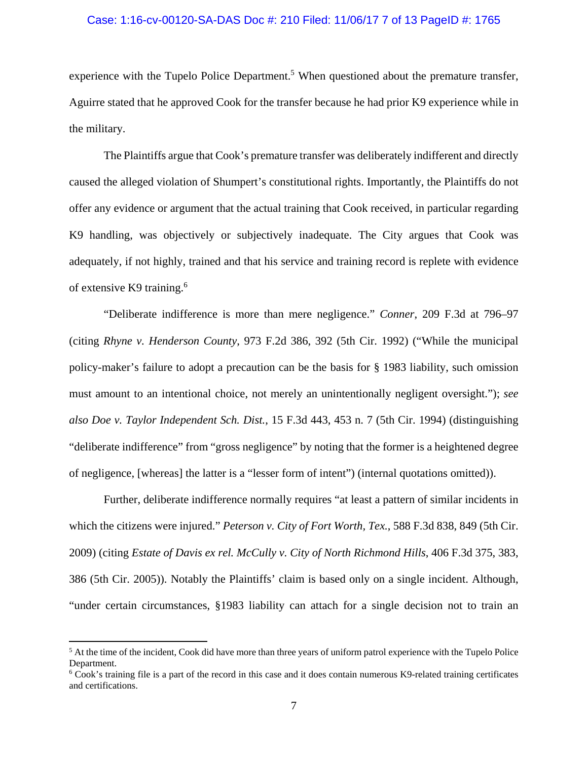## Case: 1:16-cv-00120-SA-DAS Doc #: 210 Filed: 11/06/17 7 of 13 PageID #: 1765

experience with the Tupelo Police Department.<sup>5</sup> When questioned about the premature transfer, Aguirre stated that he approved Cook for the transfer because he had prior K9 experience while in the military.

The Plaintiffs argue that Cook's premature transfer was deliberately indifferent and directly caused the alleged violation of Shumpert's constitutional rights. Importantly, the Plaintiffs do not offer any evidence or argument that the actual training that Cook received, in particular regarding K9 handling, was objectively or subjectively inadequate. The City argues that Cook was adequately, if not highly, trained and that his service and training record is replete with evidence of extensive K9 training.6

"Deliberate indifference is more than mere negligence." *Conner*, 209 F.3d at 796–97 (citing *Rhyne v. Henderson County*, 973 F.2d 386, 392 (5th Cir. 1992) ("While the municipal policy-maker's failure to adopt a precaution can be the basis for § 1983 liability, such omission must amount to an intentional choice, not merely an unintentionally negligent oversight."); *see also Doe v. Taylor Independent Sch. Dist.*, 15 F.3d 443, 453 n. 7 (5th Cir. 1994) (distinguishing "deliberate indifference" from "gross negligence" by noting that the former is a heightened degree of negligence, [whereas] the latter is a "lesser form of intent") (internal quotations omitted)).

Further, deliberate indifference normally requires "at least a pattern of similar incidents in which the citizens were injured." *Peterson v. City of Fort Worth, Tex.*, 588 F.3d 838, 849 (5th Cir. 2009) (citing *Estate of Davis ex rel. McCully v. City of North Richmond Hills*, 406 F.3d 375, 383, 386 (5th Cir. 2005)). Notably the Plaintiffs' claim is based only on a single incident. Although, "under certain circumstances, §1983 liability can attach for a single decision not to train an

1

 $<sup>5</sup>$  At the time of the incident, Cook did have more than three years of uniform patrol experience with the Tupelo Police</sup> Department.

<sup>6</sup> Cook's training file is a part of the record in this case and it does contain numerous K9-related training certificates and certifications.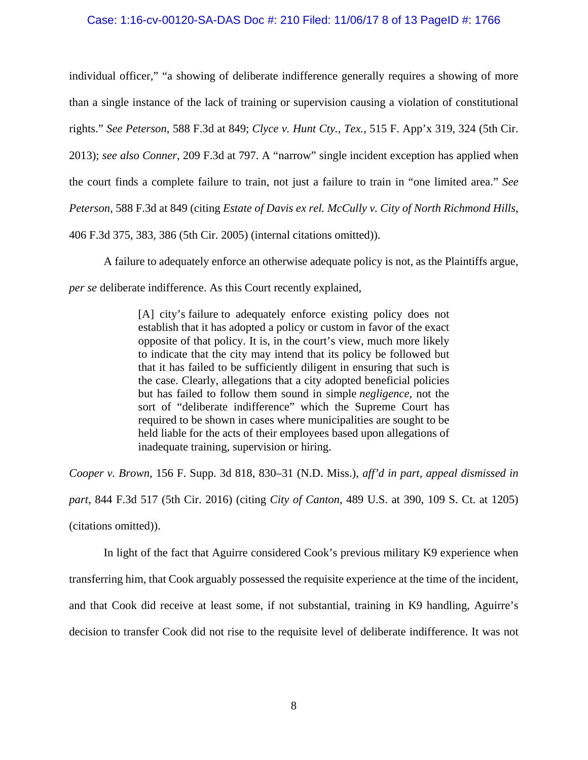## Case: 1:16-cv-00120-SA-DAS Doc #: 210 Filed: 11/06/17 8 of 13 PageID #: 1766

individual officer," "a showing of deliberate indifference generally requires a showing of more than a single instance of the lack of training or supervision causing a violation of constitutional rights." *See Peterson*, 588 F.3d at 849; *Clyce v. Hunt Cty., Tex.*, 515 F. App'x 319, 324 (5th Cir. 2013); *see also Conner*, 209 F.3d at 797. A "narrow" single incident exception has applied when the court finds a complete failure to train, not just a failure to train in "one limited area." *See Peterson*, 588 F.3d at 849 (citing *Estate of Davis ex rel. McCully v. City of North Richmond Hills*, 406 F.3d 375, 383, 386 (5th Cir. 2005) (internal citations omitted)).

A failure to adequately enforce an otherwise adequate policy is not, as the Plaintiffs argue, *per se* deliberate indifference. As this Court recently explained,

> [A] city's failure to adequately enforce existing policy does not establish that it has adopted a policy or custom in favor of the exact opposite of that policy. It is, in the court's view, much more likely to indicate that the city may intend that its policy be followed but that it has failed to be sufficiently diligent in ensuring that such is the case. Clearly, allegations that a city adopted beneficial policies but has failed to follow them sound in simple *negligence*, not the sort of "deliberate indifference" which the Supreme Court has required to be shown in cases where municipalities are sought to be held liable for the acts of their employees based upon allegations of inadequate training, supervision or hiring.

*Cooper v. Brown*, 156 F. Supp. 3d 818, 830–31 (N.D. Miss.), *aff'd in part, appeal dismissed in part*, 844 F.3d 517 (5th Cir. 2016) (citing *City of Canton*, 489 U.S. at 390, 109 S. Ct. at 1205) (citations omitted)).

In light of the fact that Aguirre considered Cook's previous military K9 experience when transferring him, that Cook arguably possessed the requisite experience at the time of the incident, and that Cook did receive at least some, if not substantial, training in K9 handling, Aguirre's decision to transfer Cook did not rise to the requisite level of deliberate indifference. It was not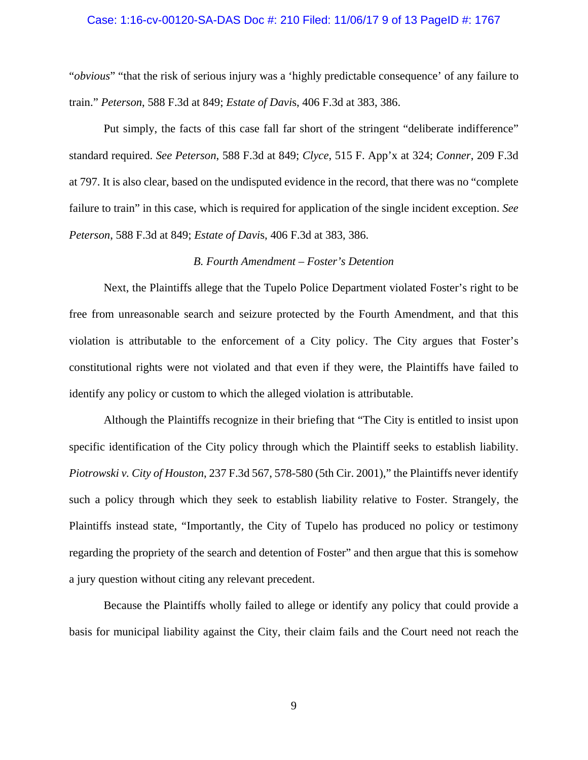#### Case: 1:16-cv-00120-SA-DAS Doc #: 210 Filed: 11/06/17 9 of 13 PageID #: 1767

"*obvious*" "that the risk of serious injury was a 'highly predictable consequence' of any failure to train." *Peterson*, 588 F.3d at 849; *Estate of Davi*s, 406 F.3d at 383, 386.

Put simply, the facts of this case fall far short of the stringent "deliberate indifference" standard required. *See Peterson*, 588 F.3d at 849; *Clyce*, 515 F. App'x at 324; *Conner*, 209 F.3d at 797. It is also clear, based on the undisputed evidence in the record, that there was no "complete failure to train" in this case, which is required for application of the single incident exception. *See Peterson*, 588 F.3d at 849; *Estate of Davi*s, 406 F.3d at 383, 386.

#### *B. Fourth Amendment – Foster's Detention*

Next, the Plaintiffs allege that the Tupelo Police Department violated Foster's right to be free from unreasonable search and seizure protected by the Fourth Amendment, and that this violation is attributable to the enforcement of a City policy. The City argues that Foster's constitutional rights were not violated and that even if they were, the Plaintiffs have failed to identify any policy or custom to which the alleged violation is attributable.

Although the Plaintiffs recognize in their briefing that "The City is entitled to insist upon specific identification of the City policy through which the Plaintiff seeks to establish liability. *Piotrowski v. City of Houston*, 237 F.3d 567, 578-580 (5th Cir. 2001)," the Plaintiffs never identify such a policy through which they seek to establish liability relative to Foster. Strangely, the Plaintiffs instead state, "Importantly, the City of Tupelo has produced no policy or testimony regarding the propriety of the search and detention of Foster" and then argue that this is somehow a jury question without citing any relevant precedent.

Because the Plaintiffs wholly failed to allege or identify any policy that could provide a basis for municipal liability against the City, their claim fails and the Court need not reach the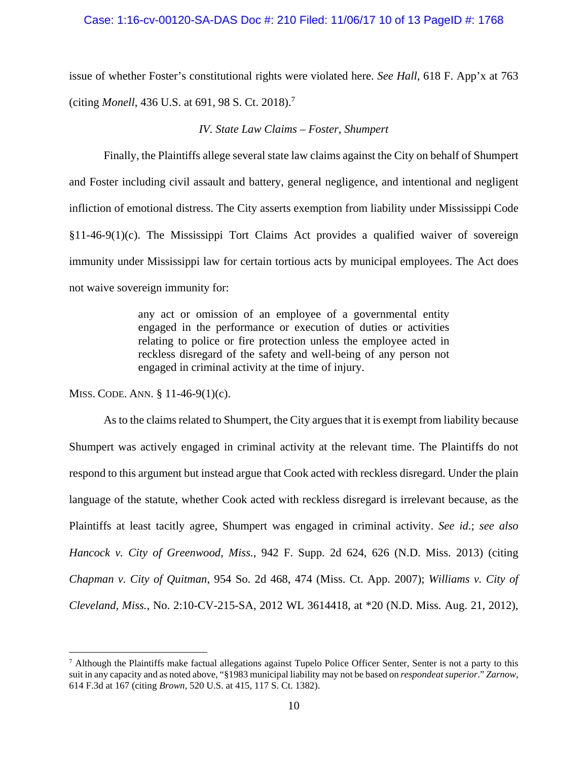## Case: 1:16-cv-00120-SA-DAS Doc #: 210 Filed: 11/06/17 10 of 13 PageID #: 1768

issue of whether Foster's constitutional rights were violated here. *See Hall*, 618 F. App'x at 763 (citing *Monell*, 436 U.S. at 691, 98 S. Ct. 2018).<sup>7</sup>

## *IV. State Law Claims – Foster, Shumpert*

Finally, the Plaintiffs allege several state law claims against the City on behalf of Shumpert and Foster including civil assault and battery, general negligence, and intentional and negligent infliction of emotional distress. The City asserts exemption from liability under Mississippi Code  $§11-46-9(1)(c)$ . The Mississippi Tort Claims Act provides a qualified waiver of sovereign immunity under Mississippi law for certain tortious acts by municipal employees. The Act does not waive sovereign immunity for:

> any act or omission of an employee of a governmental entity engaged in the performance or execution of duties or activities relating to police or fire protection unless the employee acted in reckless disregard of the safety and well-being of any person not engaged in criminal activity at the time of injury.

MISS. CODE. ANN. § 11-46-9(1)(c).

 $\overline{a}$ 

As to the claims related to Shumpert, the City argues that it is exempt from liability because Shumpert was actively engaged in criminal activity at the relevant time. The Plaintiffs do not respond to this argument but instead argue that Cook acted with reckless disregard. Under the plain language of the statute, whether Cook acted with reckless disregard is irrelevant because, as the Plaintiffs at least tacitly agree, Shumpert was engaged in criminal activity. *See id*.; *see also Hancock v. City of Greenwood, Miss.*, 942 F. Supp. 2d 624, 626 (N.D. Miss. 2013) (citing *Chapman v. City of Quitman*, 954 So. 2d 468, 474 (Miss. Ct. App. 2007); *Williams v. City of Cleveland, Miss.*, No. 2:10-CV-215-SA, 2012 WL 3614418, at \*20 (N.D. Miss. Aug. 21, 2012),

 $^7$  Although the Plaintiffs make factual allegations against Tupelo Police Officer Senter, Senter is not a party to this suit in any capacity and as noted above, "§1983 municipal liability may not be based on *respondeat superior*." *Zarnow*, 614 F.3d at 167 (citing *Brown*, 520 U.S. at 415, 117 S. Ct. 1382).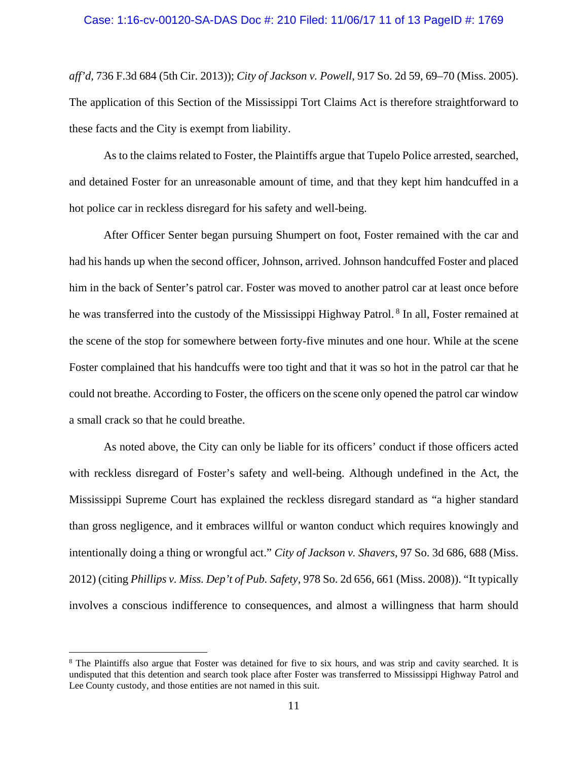#### Case: 1:16-cv-00120-SA-DAS Doc #: 210 Filed: 11/06/17 11 of 13 PageID #: 1769

*aff'd,* 736 F.3d 684 (5th Cir. 2013)); *City of Jackson v. Powell*, 917 So. 2d 59, 69–70 (Miss. 2005). The application of this Section of the Mississippi Tort Claims Act is therefore straightforward to these facts and the City is exempt from liability.

As to the claims related to Foster, the Plaintiffs argue that Tupelo Police arrested, searched, and detained Foster for an unreasonable amount of time, and that they kept him handcuffed in a hot police car in reckless disregard for his safety and well-being.

After Officer Senter began pursuing Shumpert on foot, Foster remained with the car and had his hands up when the second officer, Johnson, arrived. Johnson handcuffed Foster and placed him in the back of Senter's patrol car. Foster was moved to another patrol car at least once before he was transferred into the custody of the Mississippi Highway Patrol.<sup>8</sup> In all, Foster remained at the scene of the stop for somewhere between forty-five minutes and one hour. While at the scene Foster complained that his handcuffs were too tight and that it was so hot in the patrol car that he could not breathe. According to Foster, the officers on the scene only opened the patrol car window a small crack so that he could breathe.

As noted above, the City can only be liable for its officers' conduct if those officers acted with reckless disregard of Foster's safety and well-being. Although undefined in the Act, the Mississippi Supreme Court has explained the reckless disregard standard as "a higher standard than gross negligence, and it embraces willful or wanton conduct which requires knowingly and intentionally doing a thing or wrongful act." *City of Jackson v. Shavers*, 97 So. 3d 686, 688 (Miss. 2012) (citing *Phillips v. Miss. Dep't of Pub. Safety*, 978 So. 2d 656, 661 (Miss. 2008)). "It typically involves a conscious indifference to consequences, and almost a willingness that harm should

 $\overline{a}$ 

<sup>&</sup>lt;sup>8</sup> The Plaintiffs also argue that Foster was detained for five to six hours, and was strip and cavity searched. It is undisputed that this detention and search took place after Foster was transferred to Mississippi Highway Patrol and Lee County custody, and those entities are not named in this suit.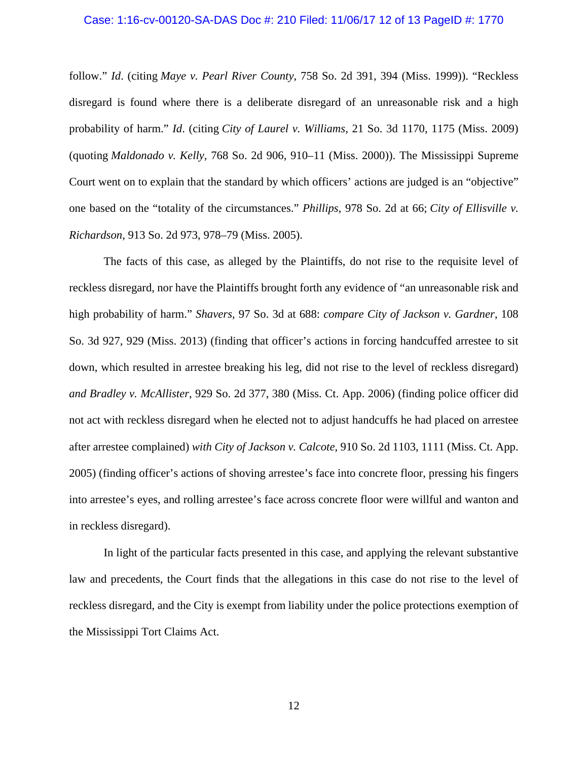#### Case: 1:16-cv-00120-SA-DAS Doc #: 210 Filed: 11/06/17 12 of 13 PageID #: 1770

follow." *Id*. (citing *Maye v. Pearl River County*, 758 So. 2d 391, 394 (Miss. 1999)). "Reckless disregard is found where there is a deliberate disregard of an unreasonable risk and a high probability of harm." *Id*. (citing *City of Laurel v. Williams*, 21 So. 3d 1170, 1175 (Miss. 2009) (quoting *Maldonado v. Kelly*, 768 So. 2d 906, 910–11 (Miss. 2000)). The Mississippi Supreme Court went on to explain that the standard by which officers' actions are judged is an "objective" one based on the "totality of the circumstances." *Phillips*, 978 So. 2d at 66; *City of Ellisville v. Richardson*, 913 So. 2d 973, 978–79 (Miss. 2005).

The facts of this case, as alleged by the Plaintiffs, do not rise to the requisite level of reckless disregard, nor have the Plaintiffs brought forth any evidence of "an unreasonable risk and high probability of harm." *Shavers*, 97 So. 3d at 688: *compare City of Jackson v. Gardner*, 108 So. 3d 927, 929 (Miss. 2013) (finding that officer's actions in forcing handcuffed arrestee to sit down, which resulted in arrestee breaking his leg, did not rise to the level of reckless disregard) *and Bradley v. McAllister*, 929 So. 2d 377, 380 (Miss. Ct. App. 2006) (finding police officer did not act with reckless disregard when he elected not to adjust handcuffs he had placed on arrestee after arrestee complained) *with City of Jackson v. Calcote*, 910 So. 2d 1103, 1111 (Miss. Ct. App. 2005) (finding officer's actions of shoving arrestee's face into concrete floor, pressing his fingers into arrestee's eyes, and rolling arrestee's face across concrete floor were willful and wanton and in reckless disregard).

In light of the particular facts presented in this case, and applying the relevant substantive law and precedents, the Court finds that the allegations in this case do not rise to the level of reckless disregard, and the City is exempt from liability under the police protections exemption of the Mississippi Tort Claims Act.